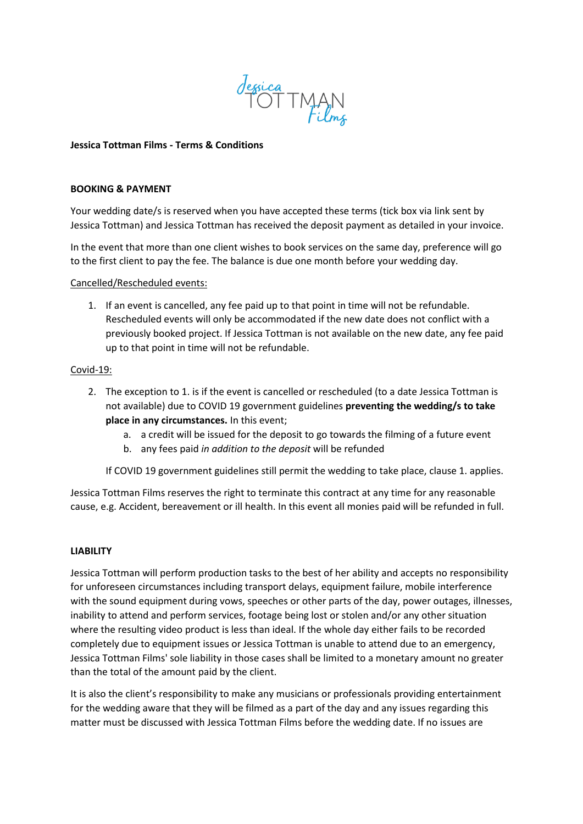

# **Jessica Tottman Films - Terms & Conditions**

#### **BOOKING & PAYMENT**

Your wedding date/s is reserved when you have accepted these terms (tick box via link sent by Jessica Tottman) and Jessica Tottman has received the deposit payment as detailed in your invoice.

In the event that more than one client wishes to book services on the same day, preference will go to the first client to pay the fee. The balance is due one month before your wedding day.

## Cancelled/Rescheduled events:

1. If an event is cancelled, any fee paid up to that point in time will not be refundable. Rescheduled events will only be accommodated if the new date does not conflict with a previously booked project. If Jessica Tottman is not available on the new date, any fee paid up to that point in time will not be refundable.

## Covid-19:

- 2. The exception to 1. is if the event is cancelled or rescheduled (to a date Jessica Tottman is not available) due to COVID 19 government guidelines **preventing the wedding/s to take place in any circumstances.** In this event;
	- a. a credit will be issued for the deposit to go towards the filming of a future event
	- b. any fees paid *in addition to the deposit* will be refunded

If COVID 19 government guidelines still permit the wedding to take place, clause 1. applies.

Jessica Tottman Films reserves the right to terminate this contract at any time for any reasonable cause, e.g. Accident, bereavement or ill health. In this event all monies paid will be refunded in full.

# **LIABILITY**

Jessica Tottman will perform production tasks to the best of her ability and accepts no responsibility for unforeseen circumstances including transport delays, equipment failure, mobile interference with the sound equipment during vows, speeches or other parts of the day, power outages, illnesses, inability to attend and perform services, footage being lost or stolen and/or any other situation where the resulting video product is less than ideal. If the whole day either fails to be recorded completely due to equipment issues or Jessica Tottman is unable to attend due to an emergency, Jessica Tottman Films' sole liability in those cases shall be limited to a monetary amount no greater than the total of the amount paid by the client.

It is also the client's responsibility to make any musicians or professionals providing entertainment for the wedding aware that they will be filmed as a part of the day and any issues regarding this matter must be discussed with Jessica Tottman Films before the wedding date. If no issues are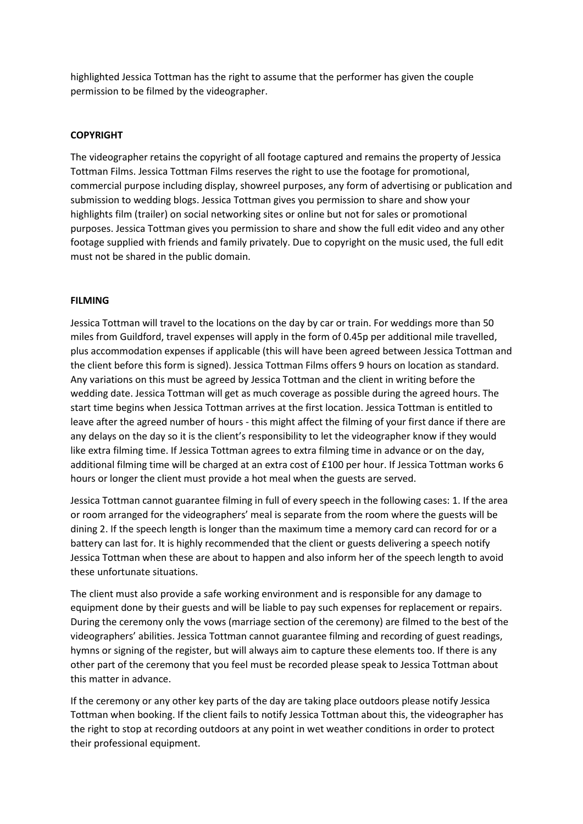highlighted Jessica Tottman has the right to assume that the performer has given the couple permission to be filmed by the videographer.

# **COPYRIGHT**

The videographer retains the copyright of all footage captured and remains the property of Jessica Tottman Films. Jessica Tottman Films reserves the right to use the footage for promotional, commercial purpose including display, showreel purposes, any form of advertising or publication and submission to wedding blogs. Jessica Tottman gives you permission to share and show your highlights film (trailer) on social networking sites or online but not for sales or promotional purposes. Jessica Tottman gives you permission to share and show the full edit video and any other footage supplied with friends and family privately. Due to copyright on the music used, the full edit must not be shared in the public domain.

## **FILMING**

Jessica Tottman will travel to the locations on the day by car or train. For weddings more than 50 miles from Guildford, travel expenses will apply in the form of 0.45p per additional mile travelled, plus accommodation expenses if applicable (this will have been agreed between Jessica Tottman and the client before this form is signed). Jessica Tottman Films offers 9 hours on location as standard. Any variations on this must be agreed by Jessica Tottman and the client in writing before the wedding date. Jessica Tottman will get as much coverage as possible during the agreed hours. The start time begins when Jessica Tottman arrives at the first location. Jessica Tottman is entitled to leave after the agreed number of hours - this might affect the filming of your first dance if there are any delays on the day so it is the client's responsibility to let the videographer know if they would like extra filming time. If Jessica Tottman agrees to extra filming time in advance or on the day, additional filming time will be charged at an extra cost of £100 per hour. If Jessica Tottman works 6 hours or longer the client must provide a hot meal when the guests are served.

Jessica Tottman cannot guarantee filming in full of every speech in the following cases: 1. If the area or room arranged for the videographers' meal is separate from the room where the guests will be dining 2. If the speech length is longer than the maximum time a memory card can record for or a battery can last for. It is highly recommended that the client or guests delivering a speech notify Jessica Tottman when these are about to happen and also inform her of the speech length to avoid these unfortunate situations.

The client must also provide a safe working environment and is responsible for any damage to equipment done by their guests and will be liable to pay such expenses for replacement or repairs. During the ceremony only the vows (marriage section of the ceremony) are filmed to the best of the videographers' abilities. Jessica Tottman cannot guarantee filming and recording of guest readings, hymns or signing of the register, but will always aim to capture these elements too. If there is any other part of the ceremony that you feel must be recorded please speak to Jessica Tottman about this matter in advance.

If the ceremony or any other key parts of the day are taking place outdoors please notify Jessica Tottman when booking. If the client fails to notify Jessica Tottman about this, the videographer has the right to stop at recording outdoors at any point in wet weather conditions in order to protect their professional equipment.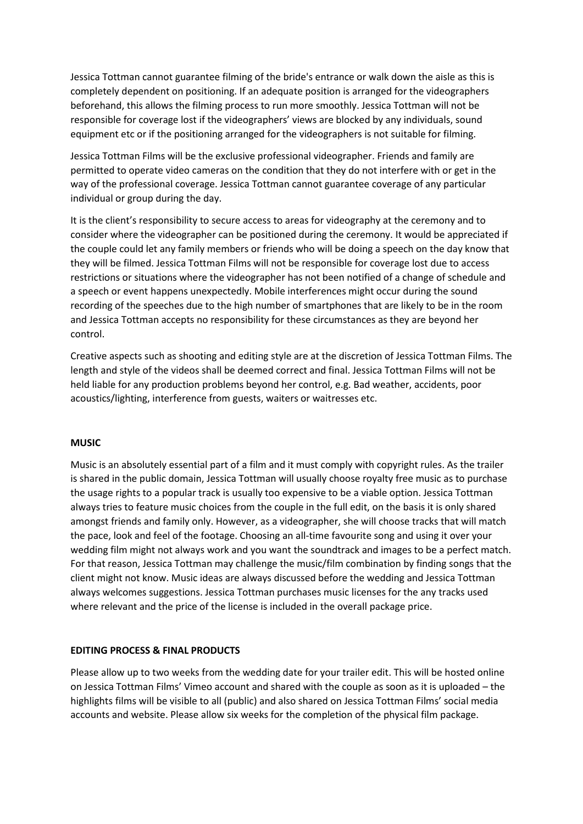Jessica Tottman cannot guarantee filming of the bride's entrance or walk down the aisle as this is completely dependent on positioning. If an adequate position is arranged for the videographers beforehand, this allows the filming process to run more smoothly. Jessica Tottman will not be responsible for coverage lost if the videographers' views are blocked by any individuals, sound equipment etc or if the positioning arranged for the videographers is not suitable for filming.

Jessica Tottman Films will be the exclusive professional videographer. Friends and family are permitted to operate video cameras on the condition that they do not interfere with or get in the way of the professional coverage. Jessica Tottman cannot guarantee coverage of any particular individual or group during the day.

It is the client's responsibility to secure access to areas for videography at the ceremony and to consider where the videographer can be positioned during the ceremony. It would be appreciated if the couple could let any family members or friends who will be doing a speech on the day know that they will be filmed. Jessica Tottman Films will not be responsible for coverage lost due to access restrictions or situations where the videographer has not been notified of a change of schedule and a speech or event happens unexpectedly. Mobile interferences might occur during the sound recording of the speeches due to the high number of smartphones that are likely to be in the room and Jessica Tottman accepts no responsibility for these circumstances as they are beyond her control.

Creative aspects such as shooting and editing style are at the discretion of Jessica Tottman Films. The length and style of the videos shall be deemed correct and final. Jessica Tottman Films will not be held liable for any production problems beyond her control, e.g. Bad weather, accidents, poor acoustics/lighting, interference from guests, waiters or waitresses etc.

#### **MUSIC**

Music is an absolutely essential part of a film and it must comply with copyright rules. As the trailer is shared in the public domain, Jessica Tottman will usually choose royalty free music as to purchase the usage rights to a popular track is usually too expensive to be a viable option. Jessica Tottman always tries to feature music choices from the couple in the full edit, on the basis it is only shared amongst friends and family only. However, as a videographer, she will choose tracks that will match the pace, look and feel of the footage. Choosing an all-time favourite song and using it over your wedding film might not always work and you want the soundtrack and images to be a perfect match. For that reason, Jessica Tottman may challenge the music/film combination by finding songs that the client might not know. Music ideas are always discussed before the wedding and Jessica Tottman always welcomes suggestions. Jessica Tottman purchases music licenses for the any tracks used where relevant and the price of the license is included in the overall package price.

#### **EDITING PROCESS & FINAL PRODUCTS**

Please allow up to two weeks from the wedding date for your trailer edit. This will be hosted online on Jessica Tottman Films' Vimeo account and shared with the couple as soon as it is uploaded – the highlights films will be visible to all (public) and also shared on Jessica Tottman Films' social media accounts and website. Please allow six weeks for the completion of the physical film package.